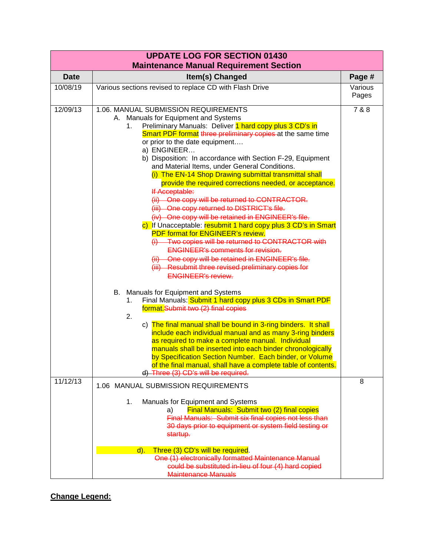|                                               |                                                                                                                                                                                                                                                                                                                                                                                                                                                                                                                                                                                                                                                                                                                                                                                                                                                                                                                                                                                                                                   | <b>UPDATE LOG FOR SECTION 01430</b> |  |  |
|-----------------------------------------------|-----------------------------------------------------------------------------------------------------------------------------------------------------------------------------------------------------------------------------------------------------------------------------------------------------------------------------------------------------------------------------------------------------------------------------------------------------------------------------------------------------------------------------------------------------------------------------------------------------------------------------------------------------------------------------------------------------------------------------------------------------------------------------------------------------------------------------------------------------------------------------------------------------------------------------------------------------------------------------------------------------------------------------------|-------------------------------------|--|--|
| <b>Maintenance Manual Requirement Section</b> |                                                                                                                                                                                                                                                                                                                                                                                                                                                                                                                                                                                                                                                                                                                                                                                                                                                                                                                                                                                                                                   |                                     |  |  |
| <b>Date</b>                                   | Item(s) Changed                                                                                                                                                                                                                                                                                                                                                                                                                                                                                                                                                                                                                                                                                                                                                                                                                                                                                                                                                                                                                   | Page #                              |  |  |
| 10/08/19                                      | Various sections revised to replace CD with Flash Drive                                                                                                                                                                                                                                                                                                                                                                                                                                                                                                                                                                                                                                                                                                                                                                                                                                                                                                                                                                           | Various<br>Pages                    |  |  |
| 12/09/13                                      | 1.06. MANUAL SUBMISSION REQUIREMENTS<br>A. Manuals for Equipment and Systems<br>Preliminary Manuals: Deliver 1 hard copy plus 3 CD's in<br>1.<br>Smart PDF format three preliminary copies at the same time<br>or prior to the date equipment<br>a) ENGINEER<br>b) Disposition: In accordance with Section F-29, Equipment<br>and Material Items, under General Conditions.<br>(i) The EN-14 Shop Drawing submittal transmittal shall<br>provide the required corrections needed, or acceptance.<br>If Acceptable:<br>(ii) One copy will be returned to CONTRACTOR.<br>(iii) One copy returned to DISTRICT's file.<br>(iv) One copy will be retained in ENGINEER's file.<br>c) If Unacceptable: resubmit 1 hard copy plus 3 CD's in Smart<br><b>PDF format for ENGINEER's review.</b><br>(i) Two copies will be returned to CONTRACTOR with<br><b>ENGINEER's comments for revision.</b><br>(ii) One copy will be retained in ENGINEER's file.<br>(iii) Resubmit three revised preliminary copies for<br><b>ENGINEER's review.</b> | 7 & 8                               |  |  |
|                                               | B. Manuals for Equipment and Systems<br>Final Manuals: Submit 1 hard copy plus 3 CDs in Smart PDF<br>1.<br>format.Submit two (2) final copies<br>2.<br>c) The final manual shall be bound in 3-ring binders. It shall<br>include each individual manual and as many 3-ring binders<br>as required to make a complete manual. Individual<br>manuals shall be inserted into each binder chronologically<br>by Specification Section Number. Each binder, or Volume<br>of the final manual, shall have a complete table of contents.<br>d) Three (3) CD's will be required.                                                                                                                                                                                                                                                                                                                                                                                                                                                          |                                     |  |  |
| 11/12/13                                      | 1.06 MANUAL SUBMISSION REQUIREMENTS                                                                                                                                                                                                                                                                                                                                                                                                                                                                                                                                                                                                                                                                                                                                                                                                                                                                                                                                                                                               | 8                                   |  |  |
|                                               | 1.<br>Manuals for Equipment and Systems<br>Final Manuals: Submit two (2) final copies<br>a)<br>Final Manuals: Submit six final copies not less than<br>30 days prior to equipment or system field testing or<br><del>startup.</del><br>Three (3) CD's will be required.<br>$d$ ).<br>One (1) electronically formatted Maintenance Manual<br>could be substituted in-lieu of four (4) hard copied                                                                                                                                                                                                                                                                                                                                                                                                                                                                                                                                                                                                                                  |                                     |  |  |

**Change Legend:**